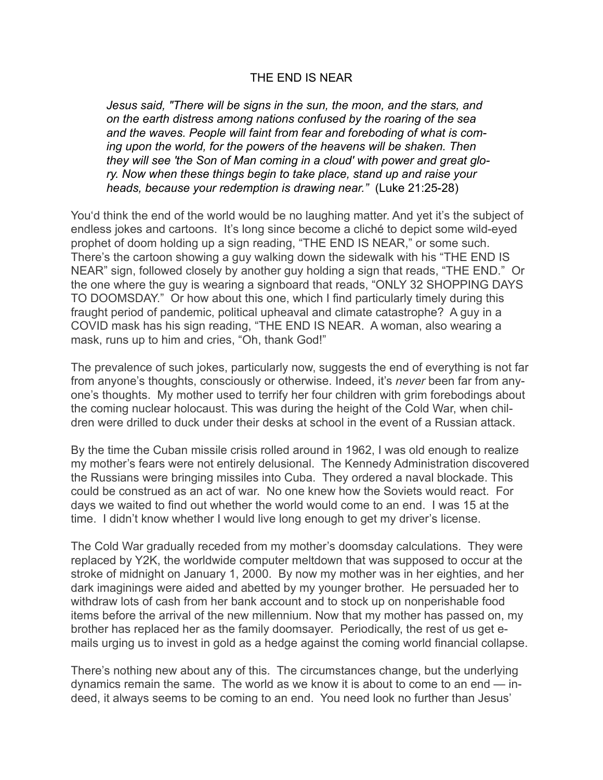## THE END IS NEAR

*Jesus said, "There will be signs in the sun, the moon, and the stars, and on the earth distress among nations confused by the roaring of the sea and the waves. People will faint from fear and foreboding of what is coming upon the world, for the powers of the heavens will be shaken. Then they will see 'the Son of Man coming in a cloud' with power and great glory. Now when these things begin to take place, stand up and raise your heads, because your redemption is drawing near."* (Luke 21:25-28)

You'd think the end of the world would be no laughing matter. And yet it's the subject of endless jokes and cartoons. It's long since become a cliché to depict some wild-eyed prophet of doom holding up a sign reading, "THE END IS NEAR," or some such. There's the cartoon showing a guy walking down the sidewalk with his "THE END IS NEAR" sign, followed closely by another guy holding a sign that reads, "THE END." Or the one where the guy is wearing a signboard that reads, "ONLY 32 SHOPPING DAYS TO DOOMSDAY." Or how about this one, which I find particularly timely during this fraught period of pandemic, political upheaval and climate catastrophe? A guy in a COVID mask has his sign reading, "THE END IS NEAR. A woman, also wearing a mask, runs up to him and cries, "Oh, thank God!"

The prevalence of such jokes, particularly now, suggests the end of everything is not far from anyone's thoughts, consciously or otherwise. Indeed, it's *never* been far from anyone's thoughts. My mother used to terrify her four children with grim forebodings about the coming nuclear holocaust. This was during the height of the Cold War, when children were drilled to duck under their desks at school in the event of a Russian attack.

By the time the Cuban missile crisis rolled around in 1962, I was old enough to realize my mother's fears were not entirely delusional. The Kennedy Administration discovered the Russians were bringing missiles into Cuba. They ordered a naval blockade. This could be construed as an act of war. No one knew how the Soviets would react. For days we waited to find out whether the world would come to an end. I was 15 at the time. I didn't know whether I would live long enough to get my driver's license.

The Cold War gradually receded from my mother's doomsday calculations. They were replaced by Y2K, the worldwide computer meltdown that was supposed to occur at the stroke of midnight on January 1, 2000. By now my mother was in her eighties, and her dark imaginings were aided and abetted by my younger brother. He persuaded her to withdraw lots of cash from her bank account and to stock up on nonperishable food items before the arrival of the new millennium. Now that my mother has passed on, my brother has replaced her as the family doomsayer. Periodically, the rest of us get emails urging us to invest in gold as a hedge against the coming world financial collapse.

There's nothing new about any of this. The circumstances change, but the underlying dynamics remain the same. The world as we know it is about to come to an end — indeed, it always seems to be coming to an end. You need look no further than Jesus'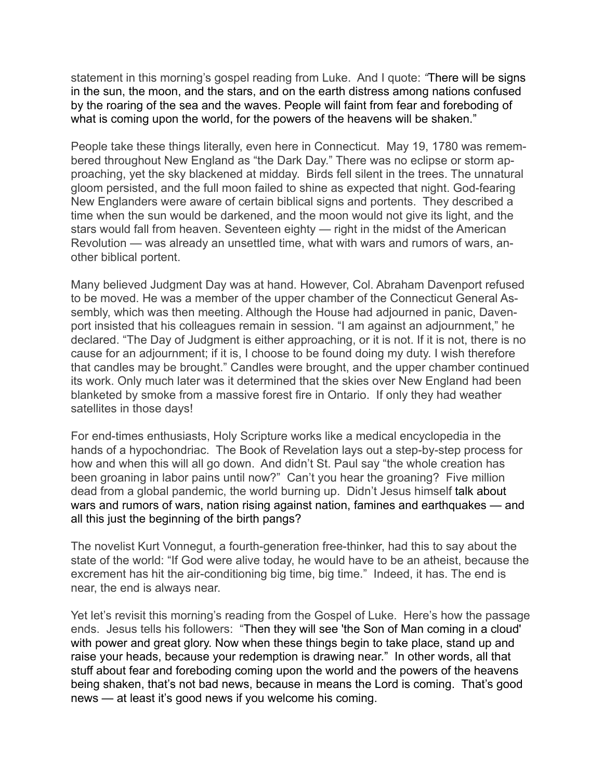statement in this morning's gospel reading from Luke. And I quote: *"*There will be signs in the sun, the moon, and the stars, and on the earth distress among nations confused by the roaring of the sea and the waves. People will faint from fear and foreboding of what is coming upon the world, for the powers of the heavens will be shaken."

People take these things literally, even here in Connecticut. May 19, 1780 was remembered throughout New England as "the Dark Day." There was no eclipse or storm approaching, yet the sky blackened at midday. Birds fell silent in the trees. The unnatural gloom persisted, and the full moon failed to shine as expected that night. God-fearing New Englanders were aware of certain biblical signs and portents. They described a time when the sun would be darkened, and the moon would not give its light, and the stars would fall from heaven. Seventeen eighty — right in the midst of the American Revolution — was already an unsettled time, what with wars and rumors of wars, another biblical portent.

Many believed Judgment Day was at hand. However, Col. Abraham Davenport refused to be moved. He was a member of the upper chamber of the Connecticut General Assembly, which was then meeting. Although the House had adjourned in panic, Davenport insisted that his colleagues remain in session. "I am against an adjournment," he declared. "The Day of Judgment is either approaching, or it is not. If it is not, there is no cause for an adjournment; if it is, I choose to be found doing my duty. I wish therefore that candles may be brought." Candles were brought, and the upper chamber continued its work. Only much later was it determined that the skies over New England had been blanketed by smoke from a massive forest fire in Ontario. If only they had weather satellites in those days!

For end-times enthusiasts, Holy Scripture works like a medical encyclopedia in the hands of a hypochondriac. The Book of Revelation lays out a step-by-step process for how and when this will all go down. And didn't St. Paul say "the whole creation has been groaning in labor pains until now?" Can't you hear the groaning? Five million dead from a global pandemic, the world burning up. Didn't Jesus himself talk about wars and rumors of wars, nation rising against nation, famines and earthquakes — and all this just the beginning of the birth pangs?

The novelist Kurt Vonnegut, a fourth-generation free-thinker, had this to say about the state of the world: "If God were alive today, he would have to be an atheist, because the excrement has hit the air-conditioning big time, big time." Indeed, it has. The end is near, the end is always near.

Yet let's revisit this morning's reading from the Gospel of Luke. Here's how the passage ends. Jesus tells his followers: "Then they will see 'the Son of Man coming in a cloud' with power and great glory. Now when these things begin to take place, stand up and raise your heads, because your redemption is drawing near." In other words, all that stuff about fear and foreboding coming upon the world and the powers of the heavens being shaken, that's not bad news, because in means the Lord is coming. That's good news — at least it's good news if you welcome his coming.